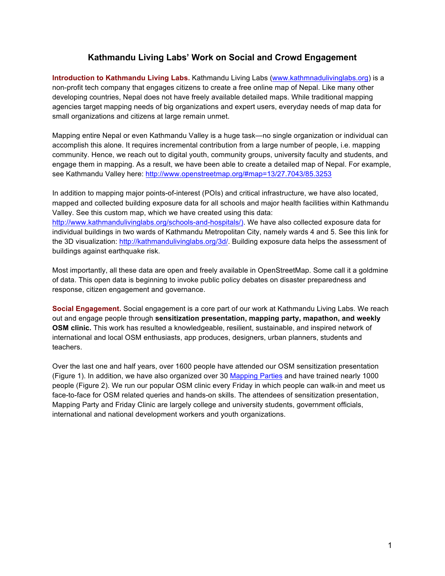## **Kathmandu Living Labs' Work on Social and Crowd Engagement**

**Introduction to Kathmandu Living Labs.** Kathmandu Living Labs (www.kathmnadulivinglabs.org) is a non-profit tech company that engages citizens to create a free online map of Nepal. Like many other developing countries, Nepal does not have freely available detailed maps. While traditional mapping agencies target mapping needs of big organizations and expert users, everyday needs of map data for small organizations and citizens at large remain unmet.

Mapping entire Nepal or even Kathmandu Valley is a huge task—no single organization or individual can accomplish this alone. It requires incremental contribution from a large number of people, i.e. mapping community. Hence, we reach out to digital youth, community groups, university faculty and students, and engage them in mapping. As a result, we have been able to create a detailed map of Nepal. For example, see Kathmandu Valley here: http://www.openstreetmap.org/#map=13/27.7043/85.3253

In addition to mapping major points-of-interest (POIs) and critical infrastructure, we have also located, mapped and collected building exposure data for all schools and major health facilities within Kathmandu Valley. See this custom map, which we have created using this data: http://www.kathmandulivinglabs.org/schools-and-hospitals/). We have also collected exposure data for individual buildings in two wards of Kathmandu Metropolitan City, namely wards 4 and 5. See this link for the 3D visualization: http://kathmandulivinglabs.org/3d/. Building exposure data helps the assessment of buildings against earthquake risk.

Most importantly, all these data are open and freely available in OpenStreetMap. Some call it a goldmine of data. This open data is beginning to invoke public policy debates on disaster preparedness and response, citizen engagement and governance.

**Social Engagement.** Social engagement is a core part of our work at Kathmandu Living Labs. We reach out and engage people through **sensitization presentation, mapping party, mapathon, and weekly OSM clinic.** This work has resulted a knowledgeable, resilient, sustainable, and inspired network of international and local OSM enthusiasts, app produces, designers, urban planners, students and teachers.

Over the last one and half years, over 1600 people have attended our OSM sensitization presentation (Figure 1). In addition, we have also organized over 30 Mapping Parties and have trained nearly 1000 people (Figure 2). We run our popular OSM clinic every Friday in which people can walk-in and meet us face-to-face for OSM related queries and hands-on skills. The attendees of sensitization presentation, Mapping Party and Friday Clinic are largely college and university students, government officials, international and national development workers and youth organizations.